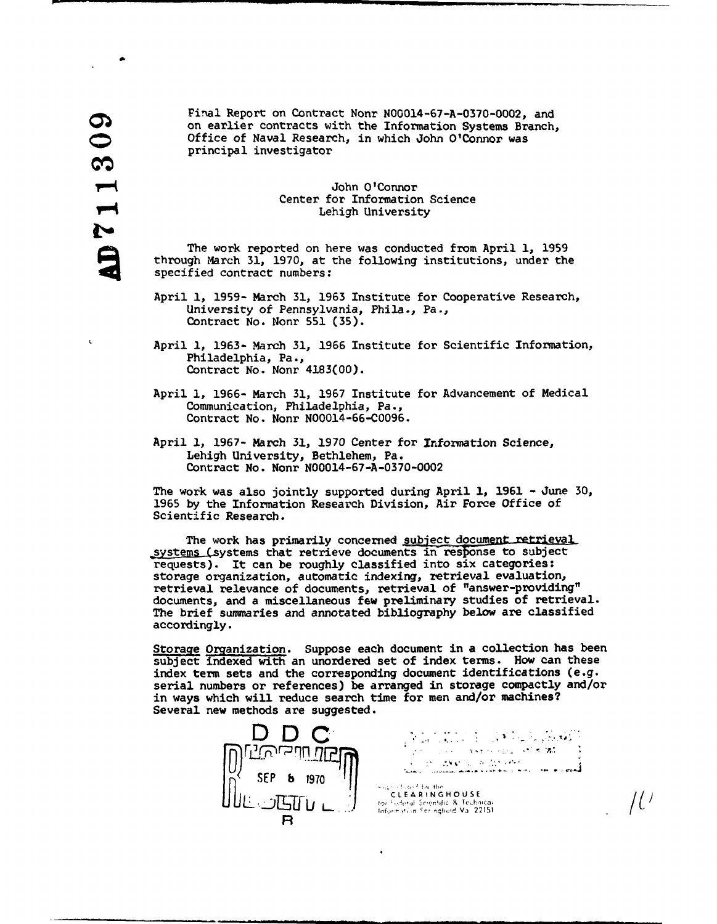Final Report on Contract Nonr N00014-67-A-0370-0002, and ON FINET Report on contract Norm Notor-4-07-A-0370-0002, and<br>
on earlier contracts with the Information Systems Branch,<br>
Office of Naval Research, in which John O'Connor was<br>
principal investigator<br>
On O'Connor<br>
Center for principal investigator

## John O'Connor Center for Information Science Lehigh University

The work reported on here was conducted from April **1,** 1959 through March 31, 1970, at the following institutions, under the specified contract numbers:

- April **1,** 1959- March 31, 1963 Institute for Cooperative Research, University of Pennsylvania, Phila., Pa., Contract No. Nonr 551 (35).
- April **1,** 1963- March **31,** 1966 Institute for Scientific Information, Philadelphia, Pa., Contract No. Nonr 4183(00).
- April **1,** 1966- March 31, 1967 Institute for Advancement of Medical Communication, Philadelphia, Pa., Contract No. Nonr N00014-66-C0096.
- April **1,** 1967- March **31,** 1970 Center for Information Science, Lehigh University, Bethlehem, Pa. Contract No. Nonr N00014-67-A-0370-0002

The work was also jointly supported during April **1,** 1961 - June 30, 1965 by the Information Research Division, Air Force Office of Scientific Research.

The work has primarily concerned subject document retrieval systems (systems that retrieve documents in response to subject requests). It can be roughly classified into six categories: storage organization, automatic indexing, retrieval evaluation, retrieval relevance of documents, retrieval of "answer-providing" documents, and a miscellaneous few preliminary studies of retrieval. The brief summaries and annotated bibliography below are classified accordingly.

Storage Organization. Suppose each document in a collection has been subject indexed with an unordered set of index terms. How can these index term sets and the corresponding document identifications (e.g. serial numbers or references) be arranged in storage compactly and/or in ways which will reduce search time for men and/or machines? Several new methods are suggested.



 $\frac{1}{2}$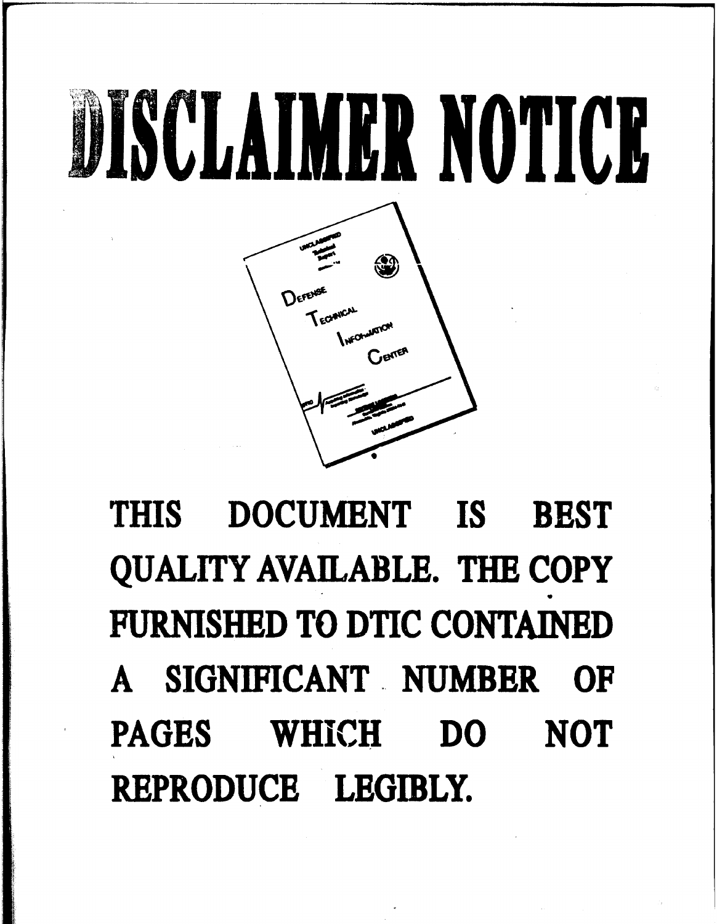

## THIS **DOCUMENT IS BEST QUALITY AVAILABLE.** THE COPY **FURNISHED** TO DTIC **CONTAINED A** SIGNIFICANT **.. NUMBER** OF **PAGES** WHICH **DO NOT** REPRODUCE LEGIBLY.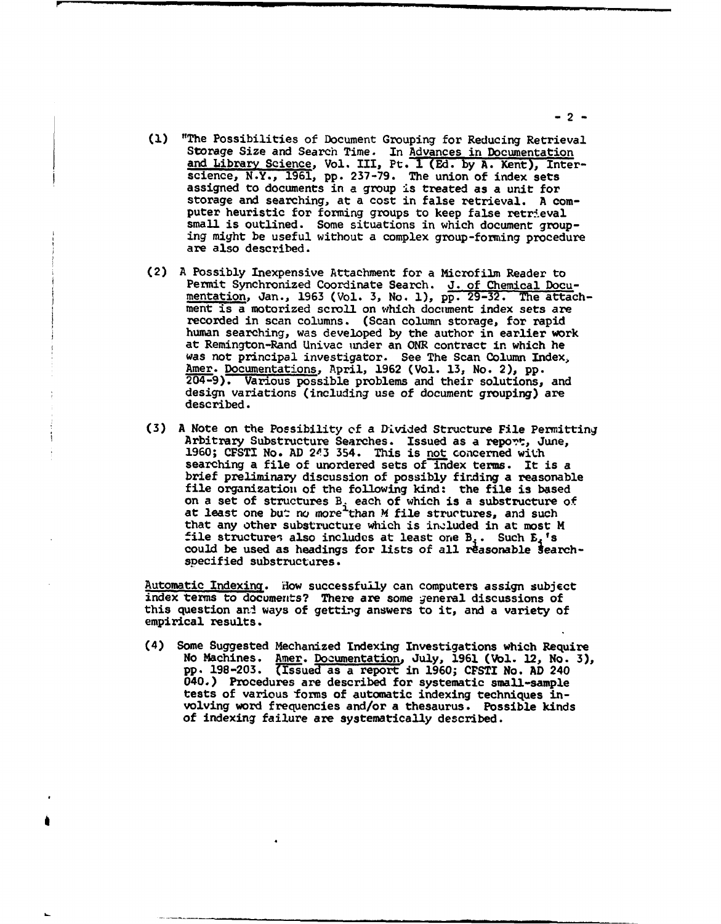- **(1)** "The Possibilities of Document Grouping for Reducing Retrieval Storage Size and Search Time. In Advances in Documentation and Library Science, Vol. III, Pt. I (Ed. by A. Kent), Interscience, N.Y., 1961, pp. 237-79. The union of index sets assigned to documents in a group is treated as a unit for storage and searching, at a cost in false retrieval. A computer heuristic for forming groups to keep false retrieval ing might be useful without a complex group-forming procedure are also described.
- (2) A Possibly Inexpensive Attachment for a Microfilm Reader to Permit Synchronized Coordinate Search. J. of Chemical Documentation, Jan., 1963 (Vol. 3, No. **1), pp.** 29-32. The attachment is a motorized scroll on which document index sets are recorded in scan columns. (Scan column storage, for rapid recorded in scan columns. (Scan column storage, for rapid human searching, was developed by the author in earlier work at Remington-Rand Univac under an ONR contract in which he was not principal investigator. See The Scan Column Index, Amer. Documentations, April, 1962 (Vol. 13, No. 2), pp. 204-9). Various possible problems and their solutions, and design variations (including use of document grouping) are described.
- **(3) A Note on the Possibility of a Divided Structure File Permitting Arbitrary Substructure Searches. Issued as a report, June, 1960; CFSTI No. AD 243 354. This is <u>not</u> concerned with** searching a file of unordered sets of index terms. It is a brief preliminary discussion of possibly firding a reasonable file organization of the following kind: the file is based on a set of structures  $B_i$  each of which is a substructure of on a set of structures b<sub>i</sub> each of which is a substructure<br>at least one but no more than M file structures, and such that any other substructuze which is included in at most M file structures also includes at least one  $B_s$ . Such  $B_s$ 's could be used as headings for lists of all reasonable searchspecified substructures.

Automatic Indexing. How successfully can computers assign subject index terms to documents? There are some general discussions of this question and ways of getting answers to it, and a variety of empirical results.

(4) Some Suggested Mechanized Indexing Investigations which Require No Machines. Amer. Documentation, July, 1961 (Vol. 12, No. **3),** No machines. Amer. Documentation, July, 1961 (Vol. 12, No.<br>pp. 198-203. (Issued as a report in 1960; CFSTI No. AD 240 040.) Procedures are described for systematic small-sample tests of various forms of automatic indexing techniques involving word frequencies and/or a thesaurus. Possible kinds of indexing failure are systematically described.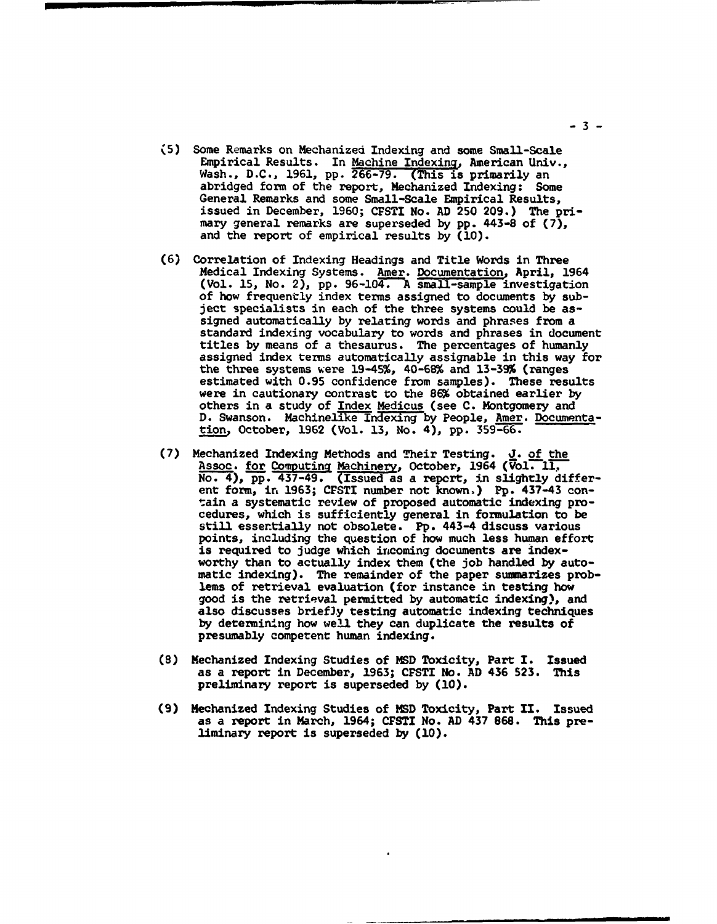- **(5)** Some Remarks on Mechanized Indexing and some Small-Scale Empirical Results. In Machine Indexing, American Univ., Wash., D.C., 1961, pp. **266-79.** (This is primarily an abridged form of the report, Mechanized Indexing: Some General Remarks and some Small-Scale Empirical Results, issued in December, 1960; CPSTI No. AD 250 209.) The primary general remarks are superseded by pp. 443-8 of (7), and the report of empirical results by  $(10)$ .
- (6) Correlation of Indexing Headings and Title Words in Three Medical Indexing Systems. Amer. Documentation, April, 1964 (Vol. 15, No. 2), pp. 96-104. A small-sample investigation of how frequently index terms assigned to documents by subject specialists in each of the three systems could be assigned automatically by relating words and phrases from a standard indexing vocabulary to words and phrases in document standard Indexing vocabulary to words and phrases in documenties by means of a thesaurus. The percentages of humanly assigned index terms automatically assignable in this way for the three systems were 19-45%, 40-68% and 13-39% (ranges estimated with 0.95 confidence from samples). These results were in cautionary contrast to the **86%** obtained earlier by others in a study of Index Medicus (see C. Montgomery and D. Swanson. Machinelike Indexing by People, Amer. Documentation, October, 1962 (Vol. 13, No. 4), pp. 359-66.
- (7) Mechanized Indexing Methods and Their Testing. J. of the Assoc. for Computing Machinery, October, 1964 (Vol. 11, No. 4), pp. 437-49. (Issued as a report, in slightly different form, in 1963; CFSTI number not known.) Pp. 437-43 contain a systematic review of proposed automatic indexing pro- cedures, which is sufficiently general in formulation to be still essertially not obsolete. **Pp.** 443-4 discuss various points, including the question of how much less human effort is required to judge which incoming documents are indexworthy than to actually index them (the job handled by auto-<br>matic indexing). The remainder of the paper summarizes problems of retrieval evaluation (for instance in testing how good is the retrieval permitted by automatic indexing), and also discusses briefJy testing automatic indexing techniques by determining how well they can duplicate the results of presumably competent human indexing.
- (8) Mechanized Indexing Studies of **MSD** Toxicity, Part I. Issued as a report in December, 1963; CFSTI No. AD 436 523. This preliminary report is superseded by (10).
- (9) Mechanized Indexing Studies of MSD Toxicity, Part II. Issued as a report in March, 1964; CFSTI No. **AD** 437 868. This pre- liminary report is superseded by (10).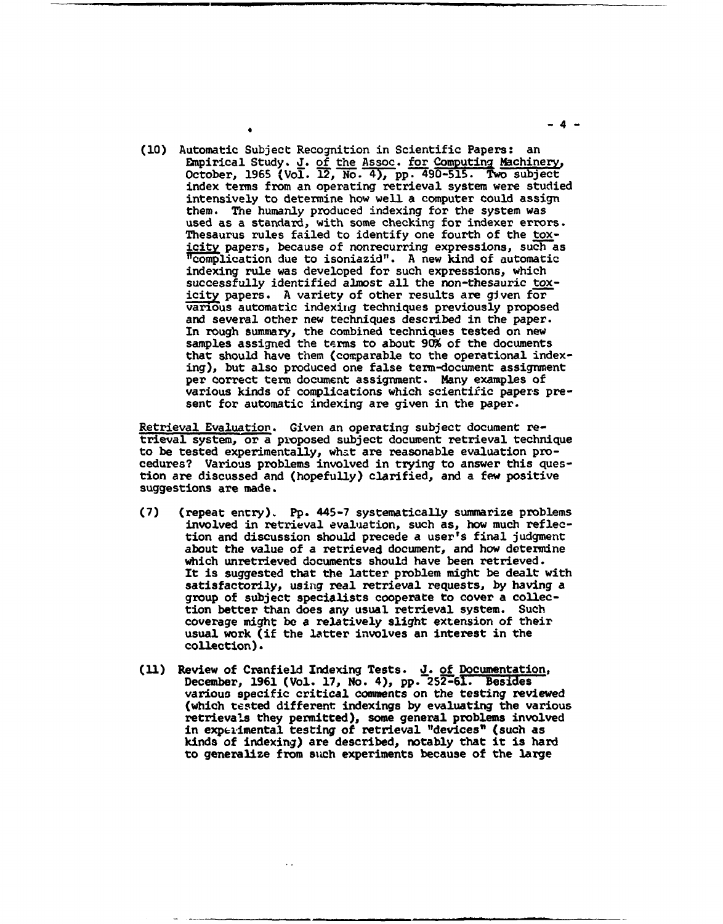**(10)** Automatic Subject Recognition in Scientific Papers: an Empirical Study. J. of the Assoc. for Computing Machinery, October, 1965 (Vol.  $\overline{12}$ , No. 4), pp. 490-515. Two subject index terms from an operating retrieval system were studied intensively to determine how well a computer could assign them. The humanly produced indexing for the system was used as a standard, with some checking for indexer errors. Thesaurus rules failed to identify one fourth of the toxicity papers, because of nonrecurring expressions, such as "complication due to isoniazid". A new kind of automatic indexing rule was developed for such expressions, which successfully identified almost all the non-thesauric toxicity papers. A variety of other results are given for various automatic indexiiig techniques previously proposed and several other new techniques described in the paper. In rough summary, the combined techniques tested on new samples assigned the terms to about 90% of the documents that should have them (comparable to the operational indexing), but also produced one false term-document assignment per correct term document assignment. Many examples of various kinds of complications which scientific papers present for automatic indexing are given in the paper.

Retrieval Evaluation. Given an operating subject document retrieval system, or a proposed subject document retrieval technique cedures? Various problems involved in trying to answer this question are discussed and (hopefully) clarified, and a few positive suggestions are made.

- (7) (repeat entry). **Pp.** 445-7 systematically summarize problems involved in retrieval evaluation, such as, how much reflection and discussion should precede a user's final judgment about the value of a retrieved document, and how determine which unretrieved documents should have been retrieved. It is suggested that the latter problem might be dealt with satisfactorily, using real retrieval requests, by having a group of subject specialists cooperate to cover a collection better than does any usual retrieval system. Such coverage might **be** a relatively slight extension of their usual work (if the latter involves an interest in the collection).
- **(11)** Review of Cranfield Indexing Tests. **J.** of Documentation, December, 1961 (Vol. 17, No. 4), pp. 252-61. Besides various specific critical comments on the testing reviewed (which tested different indexings by evaluating the various retrievals they permitted), some general problems involved in experimental testing of retrieval "devices" (such as kinds of indexing) are described, notably that it is hard to generalize from such experiments because of the large

-4-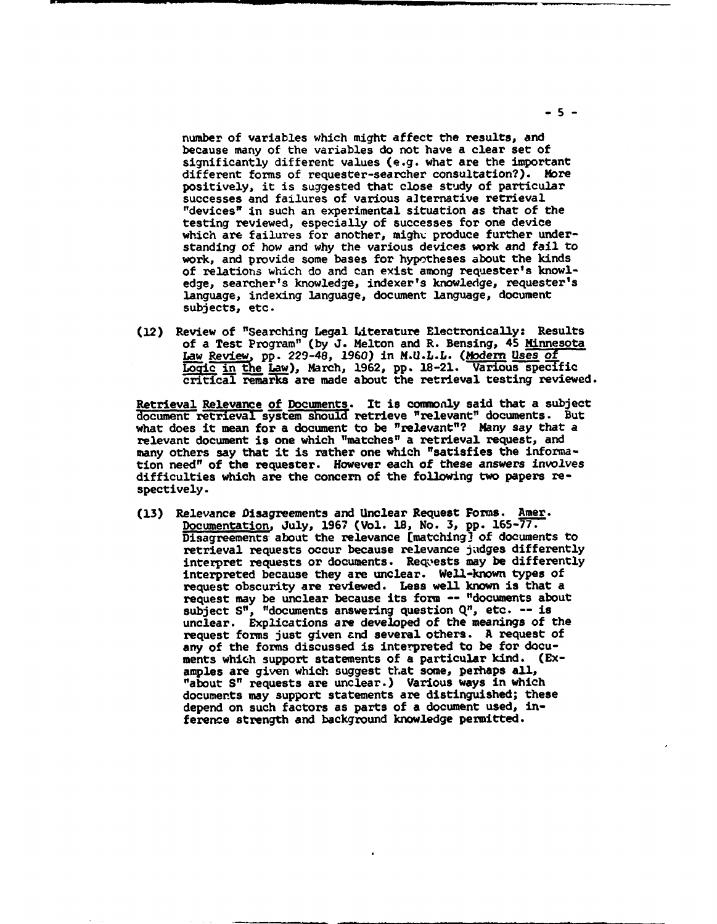number of variables which might affect the results, and because many of the variables do not have a clear set of significantly different values (e.g. what are the important different forms of requester-searcher consultation?). More positively, it is suggested that close study of particular successes and failures of various alternative retrieval "devices" in such an experimental situation as that of the testing reviewed, especially of successes for one device which are failures for another, might produce further understanding of how and why the various devices work and fail to work, and provide some bases for hypotheses about the kinds of relations which do and can exist among requester's knowledge, searcher's knowledge, indexer's knowledge, requester's language, indexing language, document language, document subjects, etc.

(12) Review of "Searching Legal Literature Electronically: Results of a Test Program" (by **J.** Melton and R. Bensing, 45 Minnesota Law Review, pp. 229-48, 1960) in M.U.L.L. (Modern Uses of Logic in the Law), March, 1962, pp. 18-21. Various specific critical remarks are made about the retrieval testing reviewed.

Retrieval Relevance of Documents. It is commonly said that a subject document retrieval system should retrieve "relevant" documents. But what does it mean for a document to be "relevant"? Many say that a relevant document is one which "matches" a retrieval request, and many others say that it is rather one which "satisfies the information need" of the requester. However each of these answers involves difficulties which are the concern of the following two papers respectively.

(13) Relevance Disagreements and Unclear Request Forms. Amer. Documentation, July, 1967 (Vol. 18, No. 3, pp. 165-77. Disagreements about the relevance [matching] of documents to retrieval requests occur because relevance judges differently interpret requests or documents. Requests may be differently interpreted because they are unclear. Well-known types of request obscurity are reviewed. Less well known is that a request obscurity are reviewed. Bess well known is that a subject S", "documents answering question Q", etc. -- is unclear. Explications are developed of the meanings of the request forms just given and several others. A request of any of the forms discussed is interpreted to be for documents which support statements of a particular kind. (Exments which support statements of a particular kind.<br>amples are given which suggest that some, perhaps all, "about S" requests are unclear.) Various ways in which documents may support statements are distinguished; these depend on such factors as parts of a document used, inference strength and background knowledge permitted.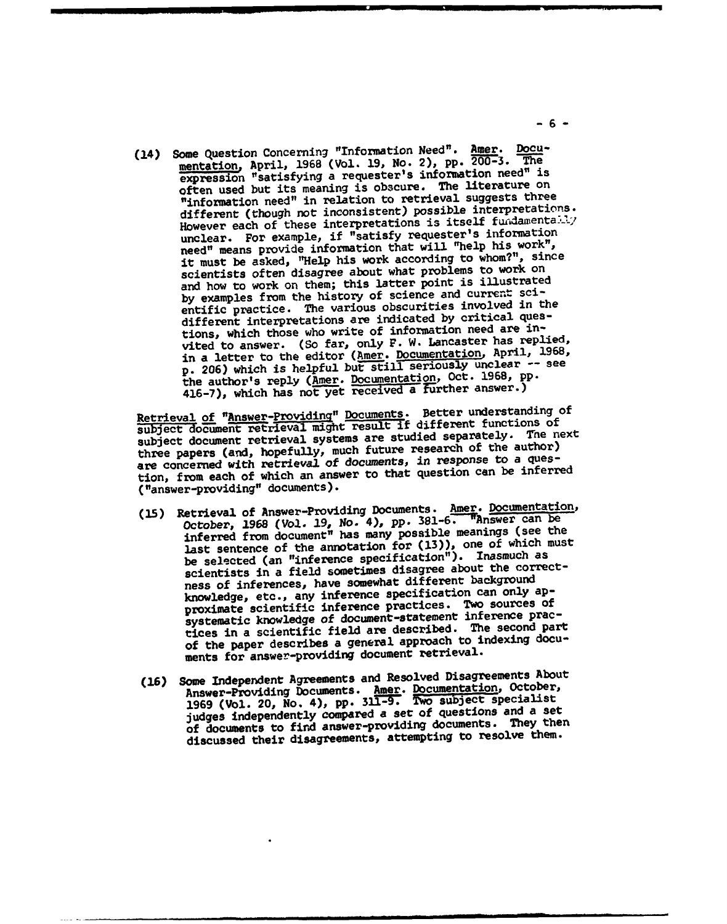(14) Some Question Concerning "Information Need". Amer. Documentation, April, 1968 (Vol. 19, No. 2), pp. 200-3. The expression "satisfying a requester's information need" is often used but its meaning is obscure. The literature on "information need" in relation to retrieval suggests three different (though not inconsistent) possible interpretations. However each of these interpretations is itself fundamentally unclear. For example, if "satisfy requester's information need" means provide information that will "help his work", it must be asked, "Help his work according to whom?", since scientists often disagree about what problems to work on and how to work on them; this latter point is illustrated by examples from the history of science and current scientific practice. The various obscurities involved in the different interpretations are indicated by critical questions, which those who write of information need are invited to answer. (So far, only F. W. Lancaster has replied, in a letter to the editor (Amer. Documentation, April, 1968, p. 206) which is helpful but still seriously unclear -- see the author's reply (Amer. Documentation, Oct. 1968, pp. 416-7), which has not yet received a Turther answer.)

Retrieval of "Answer-Providino" Documents. Better understanding of Retrieval or "Answer-Providing" bocameter if different functions of<br>subject document retrieval might result if different functions of subject document retrieval systems are studied separately. The next three papers (and, hopefully, much future research of the author) are concerned with retrieval of documents, in response to a question, from each of which an answer to that question can be inferred ("answer-providing" documents).

- (15) Retrieval of Answer-Providing Documents. Amer. Documentation, etrieval of Answer-Frouding Boomman, 381-6. These can be<br>October, 1968 (Vol. 19, No. 4), pp. 381-6. These can be October, 1968 (Vol. 19, No. 4), pp. 361-0. Innews (see the<br>inferred from document" has many possible meanings (see the last sentence of the annotation for (13)), one of which must be selected (an "inference specification"). Inasmuch as scientists in a field sometimes disagree about the correctness of inferences, have somewhat different background knowledge, etc., any inference specification can only approximate scientific inference practices. Two sources of systematic knowledge of document-statement inference practices in a scientific field are described. The second part of the paper describes a general approach to indexing documents for answer-providing document retrieval.
- (16) Some Independent Agreements and Resolved Disagreements About Answer-Providing Documents. Amer. Documentation, October, Answer-Providing Locuments. And . **The subject specialist**<br>1969 (Vol. 20, No. 4), pp. 311-9. Two subject specialist judges independently compared a set of questions and a set of documents to find answer-providing documents. They then discussed their disagreements, attempting to resolve them.

-6-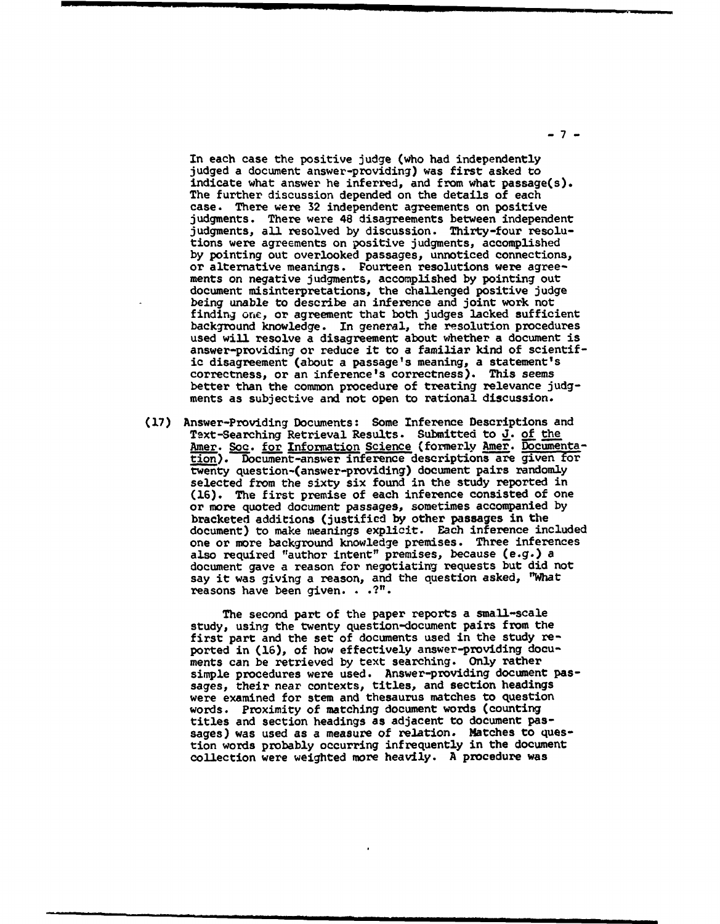In each case the positive judge (who had independently judged a document answer-providing) was first asked to indicate what answer he inferred, and from what passage(s). The further discussion depended on the details of each case. There were 32 independent agreements on positive judgments. There were 48 disagreements between independent judgments, all resolved by discussion. Thirty-four resolutions were agreements on positive judgments, accomplished by pointing out overlooked passages, unnoticed connections, or alternative meanings. Fourteen resolutions were agreements on negative judgments, accomplished by pointing out document misinterpretations, the challenged positive judge being unable to describe an inference and joint work not finding one, or agreement that both judges lacked sufficient background knowledge. In general, the resolution procedures used will resolve a disagreement about whether a document is answer-providing or reduce it to a familiar kind of scientific disagreement (about a passage's meaning, a statement's correctness, or an inference's correctness). This seems better than the common procedure of treating relevance judgments as subjective and not open to rational discussion.

(17) Answer-Providing Documents: Some Inference Descriptions and Text-Searching Retrieval Results. Submitted to J. of the Amer. Soc. for Information Science (formerly Amer. Documentation). Document-answer inference descriptions are given for twenty question-(answer-providing) document pairs randomly selected from the sixty six found in the study reported in (16). The first premise of each inference consisted of one or more quoted document passages, sometimes accompanied by bracketed additions (justified by other passages in the document) to make meanings explicit. Each inference included one or more background knowledge premises. Three inferences also required "author intent" premises, because (e.g.) a document gave a reason for negotiating requests but did not say it was giving a reason, and the question asked, "What reasons have been given. **. .?".**

> The second part of the paper reports a small-scale study, using the twenty question-document pairs from the first part and the set of documents used in the study reported in (16), of how effectively answer-providing documents can be retrieved by text searching. Only rather simple procedures were used. Answer-providing document passages, their near contexts, titles, and section headings were examined for stem and thesaurus matches to question words. Proximity of matching document words (counting titles and section headings as adjacent to document passages) was used as a measure of relation. Matches to question words probably occurring infrequently in the document collection were weighted more heavily. A procedure was

**-7-**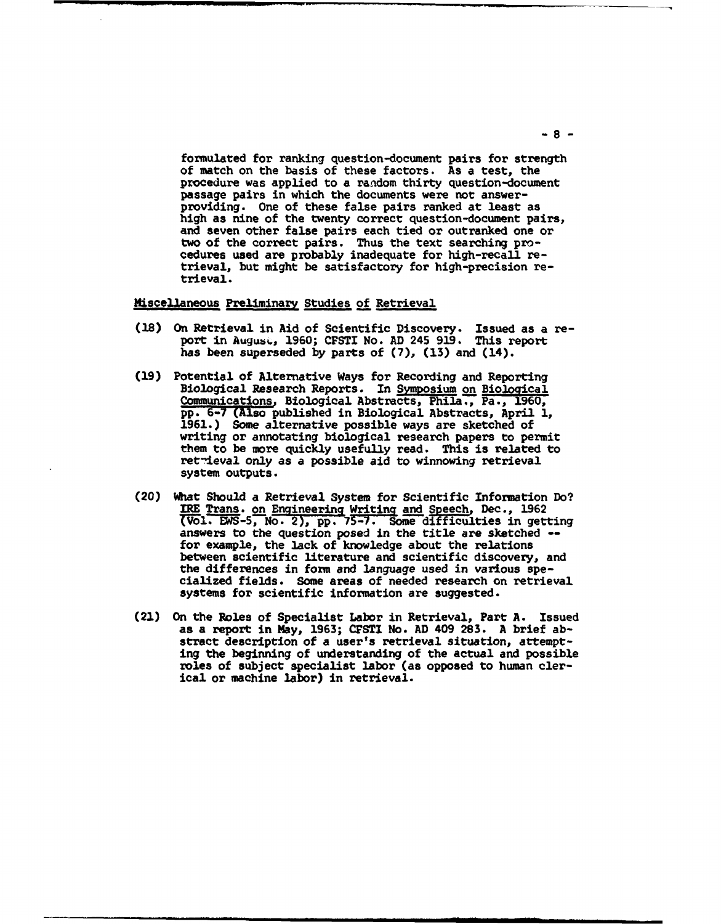formulated for ranking question-document pairs for strength of match on the basis of these factors. As a test, the procedure was applied to a random thirty question-document passage pairs in which the documents were not answerproviding. One of these false pairs ranked at least as high as nine of the twenty correct question-document pairs, and seven other false pairs each tied or outranked one or two of the correct pairs. Thus the text searching pro- cedures used are probably inadequate for high-recall retrieval, but might be satisfactory for high-precision retrieval.

## Miscellaneous Preliminary Studies of Retrieval

- (18) On Retrieval in Aid of Scientific Discovery. Issued as a report in August, 1960; CFSTI No. AD 245 919. This report has been superseded by parts of (7), (13) and (14).
- (19) Potential of Alternative Ways for Recording and Reporting Biological Research Reports. In Symposium on Biological Communications, Biological Abstracts, Phila., Pa., 1960, pp. 6-7 (Also published in Biological Abstracts, April 1, 1961.) Some alternative possible ways are sketched of writing or annotating biological research papers to p writing or annotating biological research papers to permit<br>them to be more quickly usefully read. This is related to endar to be able quickly usefully fead. This is related<br>retrieval only as a possible aid to winnowing retrieval system outputs.
- (20) What Should a Retrieval System for Scientific Information Do? IRE Trans. <u>on Engineering Writing and Speech</u>, Dec., 1962<br>(Vol. EWS-5, No. 2), pp. 75-7. Some difficulties in getting answers to the question posed in the title are sketched -- for example, the lack of knowledge about the relations between scientific literature and scientific discovery, and<br>the differences in form and language used in various specialized fields. Some areas of needed research on retrieval systems for scientific information are suggested.
- (21) On the Roles of Specialist Labor in Retrieval, Part A. Issued as a report in May, 1963; CFSTI No. AD 409 283. A brief abstract description of a user's retrieval situation, attempting the beginning of understanding of the actual and possible roles of subject specialist labor (as opposed to human clerical or machine labor) in retrieval.

**-8-**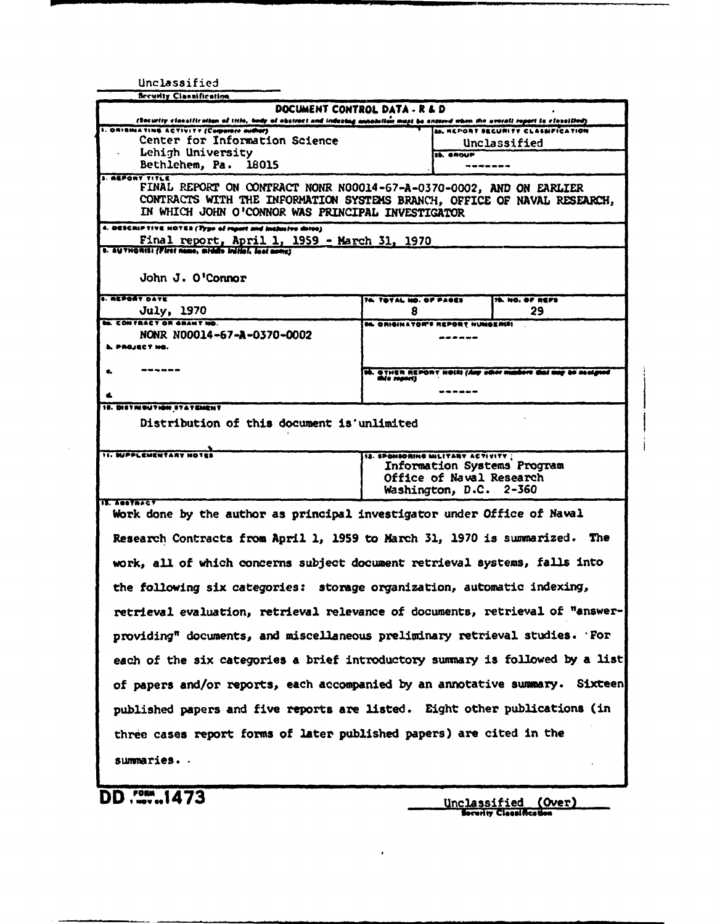| Unclassified                                                                                                                                                                                                                                                                                                                                                                                                                                                                                                                                                                                                                                                                                                                                                                                                      |                                                                                                                         |                                                                       |                                                               |  |  |
|-------------------------------------------------------------------------------------------------------------------------------------------------------------------------------------------------------------------------------------------------------------------------------------------------------------------------------------------------------------------------------------------------------------------------------------------------------------------------------------------------------------------------------------------------------------------------------------------------------------------------------------------------------------------------------------------------------------------------------------------------------------------------------------------------------------------|-------------------------------------------------------------------------------------------------------------------------|-----------------------------------------------------------------------|---------------------------------------------------------------|--|--|
| <b>Security Clannification</b>                                                                                                                                                                                                                                                                                                                                                                                                                                                                                                                                                                                                                                                                                                                                                                                    |                                                                                                                         |                                                                       |                                                               |  |  |
| DOCUMENT CONTROL DATA . R & D                                                                                                                                                                                                                                                                                                                                                                                                                                                                                                                                                                                                                                                                                                                                                                                     |                                                                                                                         |                                                                       |                                                               |  |  |
| (Socurity classification of title, body of abstract and indexing annotatio <mark>n must be entered when the overall report is classified)</mark><br>I. ORISHIATING ACTIVITY (Comparare author)<br>Center for Information Science<br>Lehigh University<br>Bethlehem, Pa. 18015                                                                                                                                                                                                                                                                                                                                                                                                                                                                                                                                     |                                                                                                                         | 20. HEPORT SECURITY CLASSIFICATION<br>Unclassified<br><b>IL SHOUP</b> |                                                               |  |  |
| <b>3. ARPORY TITLE</b><br>FINAL REPORT ON CONTRACT NONR NO0014-67-A-0370-0002, AND ON EARLIER<br>CONTRACTS WITH THE INFORMATION SYSTEMS BRANCH, OFFICE OF NAVAL RESEARCH,<br>IN WHICH JOHN O'CONNOR WAS PRINCIPAL INVESTIGATOR                                                                                                                                                                                                                                                                                                                                                                                                                                                                                                                                                                                    |                                                                                                                         |                                                                       |                                                               |  |  |
| 4. DESCRIPTIVE HOTER (Type of report and inclusive dates)<br>Final report, April 1, 1959 - March 31, 1970<br>s. AUTHORIS: (First name, middle initial, last name)                                                                                                                                                                                                                                                                                                                                                                                                                                                                                                                                                                                                                                                 |                                                                                                                         |                                                                       |                                                               |  |  |
| John J. O'Connor                                                                                                                                                                                                                                                                                                                                                                                                                                                                                                                                                                                                                                                                                                                                                                                                  |                                                                                                                         |                                                                       |                                                               |  |  |
| <b>. REPORT DATE</b><br>July, 1970                                                                                                                                                                                                                                                                                                                                                                                                                                                                                                                                                                                                                                                                                                                                                                                | 76. TOTAL NO. OF PASES<br>8                                                                                             |                                                                       | 78. NO. OF REFS<br>29                                         |  |  |
| <b>M. CONTRACT OR GRANT NO.</b><br>NONR N00014-67-A-0370-0002<br><b>L. PROJECT HO.</b>                                                                                                                                                                                                                                                                                                                                                                                                                                                                                                                                                                                                                                                                                                                            | <b>IL ORIGINATOR'S REPORT NUMBERUI</b>                                                                                  | ------                                                                |                                                               |  |  |
| .                                                                                                                                                                                                                                                                                                                                                                                                                                                                                                                                                                                                                                                                                                                                                                                                                 | this report)                                                                                                            |                                                                       | th. OTHER REPORT HOIS! (Any other manbers that may be assigne |  |  |
| 10. DISTRIBUTION STATEMENT                                                                                                                                                                                                                                                                                                                                                                                                                                                                                                                                                                                                                                                                                                                                                                                        |                                                                                                                         |                                                                       |                                                               |  |  |
| <b>11. SUPPLEMENTARY NOTES</b><br>IL. Testacct                                                                                                                                                                                                                                                                                                                                                                                                                                                                                                                                                                                                                                                                                                                                                                    | IS. SPONSOMING MILITARY ACTIVITY :<br>Information Systems Program<br>Office of Naval Research<br>Washington, D.C. 2-360 |                                                                       |                                                               |  |  |
| Work done by the author as principal investigator under Office of Naval<br>Research Contracts from April 1, 1959 to March 31, 1970 is summarized. The<br>work, all of which concerns subject document retrieval systems, falls into<br>the following six categories: storage organization, automatic indexing,<br>retrieval evaluation, retrieval relevance of documents, retrieval of "answer-<br>providing" documents, and miscellaneous preliminary retrieval studies. For<br>each of the six categories a brief introductory summary is followed by a list<br>of papers and/or reports, each accompanied by an annotative summary. Sixteen<br>published papers and five reports are listed. Eight other publications (in<br>three cases report forms of later published papers) are cited in the<br>summaries |                                                                                                                         |                                                                       |                                                               |  |  |
| DD 1473                                                                                                                                                                                                                                                                                                                                                                                                                                                                                                                                                                                                                                                                                                                                                                                                           |                                                                                                                         |                                                                       | Unclassified (Over)                                           |  |  |

 $\bullet$ 

Security Classification